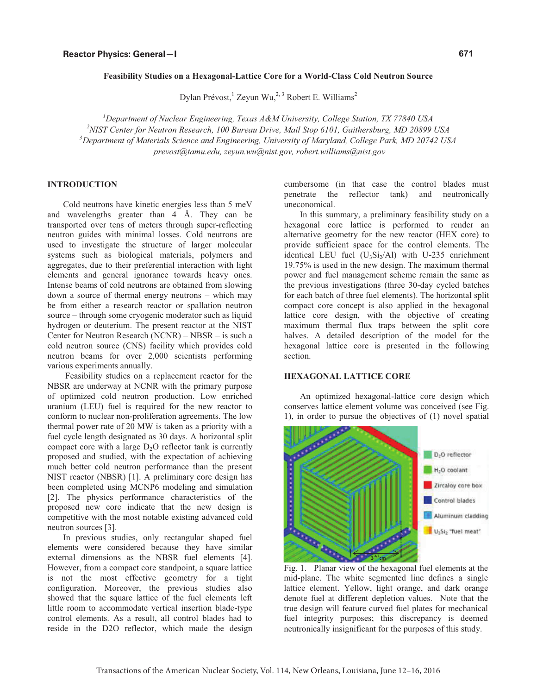#### **Feasibility Studies on a Hexagonal-Lattice Core for a World-Class Cold Neutron Source**

Dylan Prévost,  $^1$  Zeyun Wu,<sup>2,3</sup> Robert E. Williams<sup>2</sup>

<sup>1</sup> Department of Nuclear Engineering, Texas A&M University, College Station, TX 77840 USA<br><sup>2</sup>NIST Contar for Nautron Basearah 100 Burgay Drive, Mail Stop 6101, Caitharshura, MD 20800. *3 Department of Materials Science and Engineering, University of Maryland, College Park, MD 20742 USA*  <sup>2</sup>NIST Center for Neutron Research, 100 Bureau Drive, Mail Stop 6101, Gaithersburg, MD 20899 USA *prevost@tamu.edu, zeyun.wu@nist.gov, robert.williams@nist.gov* 

# **INTRODUCTION**

Cold neutrons have kinetic energies less than 5 meV and wavelengths greater than 4 Å. They can be transported over tens of meters through super-reflecting neutron guides with minimal losses. Cold neutrons are used to investigate the structure of larger molecular systems such as biological materials, polymers and aggregates, due to their preferential interaction with light elements and general ignorance towards heavy ones. Intense beams of cold neutrons are obtained from slowing down a source of thermal energy neutrons – which may be from either a research reactor or spallation neutron source – through some cryogenic moderator such as liquid hydrogen or deuterium. The present reactor at the NIST Center for Neutron Research (NCNR) – NBSR – is such a cold neutron source (CNS) facility which provides cold neutron beams for over 2,000 scientists performing various experiments annually.

 Feasibility studies on a replacement reactor for the NBSR are underway at NCNR with the primary purpose of optimized cold neutron production. Low enriched uranium (LEU) fuel is required for the new reactor to conform to nuclear non-proliferation agreements. The low thermal power rate of 20 MW is taken as a priority with a fuel cycle length designated as 30 days. A horizontal split compact core with a large  $D_2O$  reflector tank is currently proposed and studied, with the expectation of achieving much better cold neutron performance than the present NIST reactor (NBSR) [1]. A preliminary core design has been completed using MCNP6 modeling and simulation [2]. The physics performance characteristics of the proposed new core indicate that the new design is competitive with the most notable existing advanced cold neutron sources [3].

In previous studies, only rectangular shaped fuel elements were considered because they have similar external dimensions as the NBSR fuel elements [4]. However, from a compact core standpoint, a square lattice is not the most effective geometry for a tight configuration. Moreover, the previous studies also showed that the square lattice of the fuel elements left little room to accommodate vertical insertion blade-type control elements. As a result, all control blades had to reside in the D2O reflector, which made the design cumbersome (in that case the control blades must penetrate the reflector tank) and neutronically uneconomical.

In this summary, a preliminary feasibility study on a hexagonal core lattice is performed to render an alternative geometry for the new reactor (HEX core) to provide sufficient space for the control elements. The identical LEU fuel  $(U_3Si_2/Al)$  with U-235 enrichment 19.75% is used in the new design. The maximum thermal power and fuel management scheme remain the same as the previous investigations (three 30-day cycled batches for each batch of three fuel elements). The horizontal split compact core concept is also applied in the hexagonal lattice core design, with the objective of creating maximum thermal flux traps between the split core halves. A detailed description of the model for the hexagonal lattice core is presented in the following section.

## **HEXAGONAL LATTICE CORE**

An optimized hexagonal-lattice core design which conserves lattice element volume was conceived (see Fig. 1), in order to pursue the objectives of (1) novel spatial



Fig. 1. Planar view of the hexagonal fuel elements at the mid-plane. The white segmented line defines a single lattice element. Yellow, light orange, and dark orange denote fuel at different depletion values. Note that the true design will feature curved fuel plates for mechanical fuel integrity purposes; this discrepancy is deemed neutronically insignificant for the purposes of this study.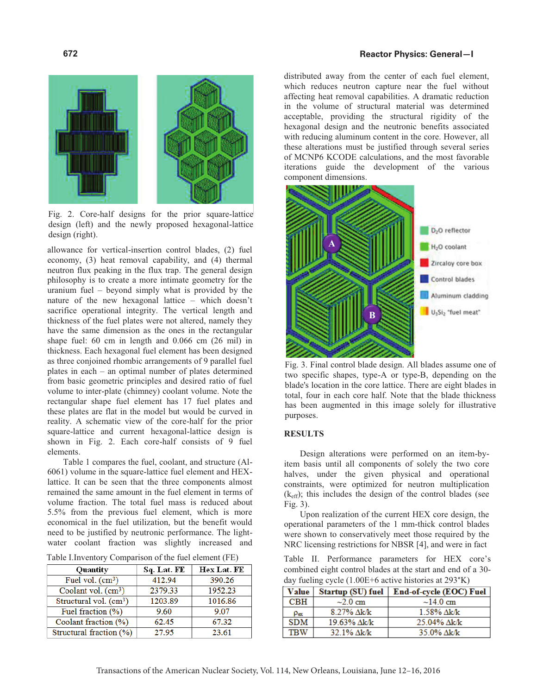### **Reactor Physics: General—I**



Fig. 2. Core-half designs for the prior square-lattice design (left) and the newly proposed hexagonal-lattice design (right).

allowance for vertical-insertion control blades, (2) fuel economy, (3) heat removal capability, and (4) thermal neutron flux peaking in the flux trap. The general design philosophy is to create a more intimate geometry for the uranium fuel – beyond simply what is provided by the nature of the new hexagonal lattice – which doesn't sacrifice operational integrity. The vertical length and thickness of the fuel plates were not altered, namely they have the same dimension as the ones in the rectangular shape fuel: 60 cm in length and 0.066 cm (26 mil) in thickness. Each hexagonal fuel element has been designed as three conjoined rhombic arrangements of 9 parallel fuel plates in each – an optimal number of plates determined from basic geometric principles and desired ratio of fuel volume to inter-plate (chimney) coolant volume. Note the rectangular shape fuel element has 17 fuel plates and these plates are flat in the model but would be curved in reality. A schematic view of the core-half for the prior square-lattice and current hexagonal-lattice design is shown in Fig. 2. Each core-half consists of 9 fuel elements.

Table 1 compares the fuel, coolant, and structure (Al-6061) volume in the square-lattice fuel element and HEXlattice. It can be seen that the three components almost remained the same amount in the fuel element in terms of volume fraction. The total fuel mass is reduced about 5.5% from the previous fuel element, which is more economical in the fuel utilization, but the benefit would need to be justified by neutronic performance. The lightwater coolant fraction was slightly increased and

| Table I.Inventory Comparison of the fuel element (FE) |  |  |  |  |
|-------------------------------------------------------|--|--|--|--|
|-------------------------------------------------------|--|--|--|--|

| Quantity                        | Sq. Lat. FE | Hex Lat. FE |
|---------------------------------|-------------|-------------|
| Fuel vol. $(cm3)$               | 412.94      | 390.26      |
| Coolant vol. (cm <sup>3</sup> ) | 2379.33     | 1952.23     |
| Structural vol. $(cm3)$         | 1203.89     | 1016.86     |
| Fuel fraction (%)               | 9.60        | 9.07        |
| Coolant fraction (%)            | 62.45       | 67.32       |
| Structural fraction (%)         | 27.95       | 23.61       |

distributed away from the center of each fuel element, which reduces neutron capture near the fuel without affecting heat removal capabilities. A dramatic reduction in the volume of structural material was determined acceptable, providing the structural rigidity of the hexagonal design and the neutronic benefits associated with reducing aluminum content in the core. However, all these alterations must be justified through several series of MCNP6 KCODE calculations, and the most favorable iterations guide the development of the various component dimensions.



Fig. 3. Final control blade design. All blades assume one of two specific shapes, type-A or type-B, depending on the blade's location in the core lattice. There are eight blades in total, four in each core half. Note that the blade thickness has been augmented in this image solely for illustrative purposes.

## **RESULTS**

Design alterations were performed on an item-byitem basis until all components of solely the two core halves, under the given physical and operational constraints, were optimized for neutron multiplication  $(k_{\text{eff}})$ ; this includes the design of the control blades (see Fig. 3).

Upon realization of the current HEX core design, the operational parameters of the 1 mm-thick control blades were shown to conservatively meet those required by the NRC licensing restrictions for NBSR [4], and were in fact

Table II. Performance parameters for HEX core's combined eight control blades at the start and end of a 30 day fueling cycle (1.00E+6 active histories at 293°K)

| Value           | Startup (SU) fuel | End-of-cycle (EOC) Fuel |
|-----------------|-------------------|-------------------------|
| CBH             | $\sim$ 2.0 cm     | ~14.0~cm                |
| $\rho_{\rm ex}$ | 8.27% Ak/k        | 1.58% $\Delta k/k$      |
| <b>SDM</b>      | 19.63% Ak/k       | 25 04% Ak/k             |
| <b>TRW</b>      | 32.1% Ak/k        | 35.0% Ak/k              |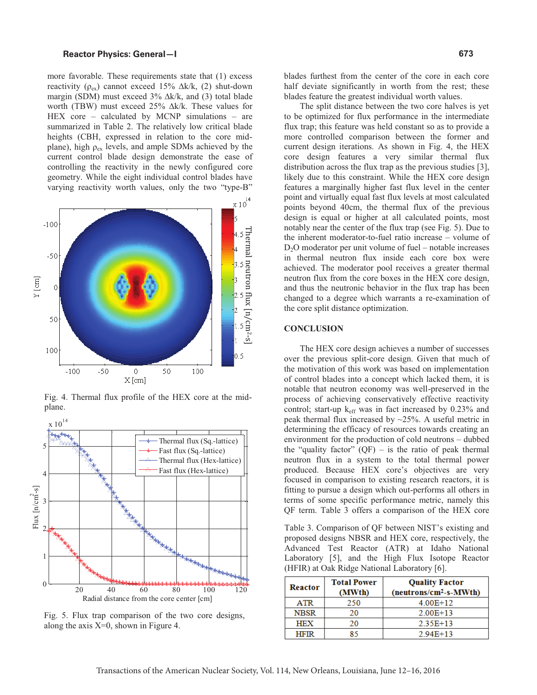### **Reactor Physics: General—I**

more favorable. These requirements state that (1) excess reactivity ( $\rho_{ex}$ ) cannot exceed 15%  $\Delta k/k$ , (2) shut-down margin (SDM) must exceed 3% ∆k/k, and (3) total blade worth (TBW) must exceed 25% ∆k/k. These values for HEX core – calculated by MCNP simulations – are summarized in Table 2. The relatively low critical blade heights (CBH, expressed in relation to the core midplane), high  $\rho_{ex}$  levels, and ample SDMs achieved by the current control blade design demonstrate the ease of controlling the reactivity in the newly configured core geometry. While the eight individual control blades have varying reactivity worth values, only the two "type-B"



Fig. 4. Thermal flux profile of the HEX core at the mid-



Fig. 5. Flux trap comparison of the two core designs, along the axis  $X=0$ , shown in Figure 4.

blades furthest from the center of the core in each core half deviate significantly in worth from the rest; these blades feature the greatest individual worth values.

The split distance between the two core halves is yet to be optimized for flux performance in the intermediate flux trap; this feature was held constant so as to provide a more controlled comparison between the former and current design iterations. As shown in Fig. 4, the HEX core design features a very similar thermal flux distribution across the flux trap as the previous studies [3], likely due to this constraint. While the HEX core design features a marginally higher fast flux level in the center point and virtually equal fast flux levels at most calculated points beyond 40cm, the thermal flux of the previous design is equal or higher at all calculated points, most notably near the center of the flux trap (see Fig. 5). Due to the inherent moderator-to-fuel ratio increase – volume of  $D<sub>2</sub>O$  moderator per unit volume of fuel – notable increases in thermal neutron flux inside each core box were achieved. The moderator pool receives a greater thermal neutron flux from the core boxes in the HEX core design, and thus the neutronic behavior in the flux trap has been changed to a degree which warrants a re-examination of the core split distance optimization.

### **CONCLUSION**

The HEX core design achieves a number of successes over the previous split-core design. Given that much of the motivation of this work was based on implementation of control blades into a concept which lacked them, it is notable that neutron economy was well-preserved in the process of achieving conservatively effective reactivity control; start-up  $k_{\text{eff}}$  was in fact increased by 0.23% and peak thermal flux increased by  $\sim$ 25%. A useful metric in determining the efficacy of resources towards creating an environment for the production of cold neutrons – dubbed the "quality factor"  $(QF)$  – is the ratio of peak thermal neutron flux in a system to the total thermal power produced. Because HEX core's objectives are very focused in comparison to existing research reactors, it is fitting to pursue a design which out-performs all others in terms of some specific performance metric, namely this QF term. Table 3 offers a comparison of the HEX core

Table 3. Comparison of QF between NIST's existing and proposed designs NBSR and HEX core, respectively, the Advanced Test Reactor (ATR) at Idaho National Laboratory [5], and the High Flux Isotope Reactor (HFIR) at Oak Ridge National Laboratory [6].

| Reactor     | <b>Total Power</b><br>(MWth) | <b>Quality Factor</b><br>$(newtrons/cm2-s-MWth)$ |
|-------------|------------------------------|--------------------------------------------------|
| <b>ATR</b>  | 250                          | $4.00E+12$                                       |
| <b>NBSR</b> | 20                           | $2.00E + 13$                                     |
| <b>HEX</b>  | 20                           | $2.35E+13$                                       |
| <b>HFIR</b> | 85                           | $2.94E+13$                                       |